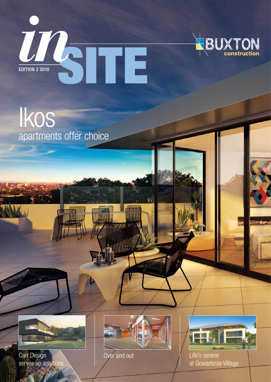



Ikos apartments offer choice



Carr Design serves up solutions



Over and out

**ENTITTININ** 

**Sullian** 



Life's serene at Gowanbrae Village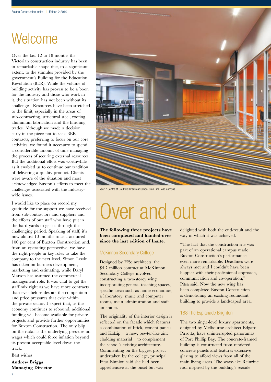## Welcome

Over the last 12 to 18 months the Victorian construction industry has been in remarkable shape due, to a significant extent, to the stimulus provided by the government's Building for the Education Revolution (BER). While the volume of building activity has proven to be a boon for the industry and those who work in it, the situation has not been without its challenges. Resources have been stretched to the limit, especially in the areas of sub-contracting, structural steel, roofing, aluminium fabrication and the finishing trades. Although we made a decision early in the piece not to seek BER contracts, preferring to focus on our core activities, we found it necessary to spend a considerable amount of time managing the process of securing external resources. But the additional effort was worthwhile as it enabled us to continue our tradition of delivering a quality product. Clients were aware of the situation and most acknowledged Buxton's efforts to meet the challenges associated with the industrywide issues.

I would like to place on record my gratitude for the support we have received from sub-contractors and suppliers and the efforts of our staff who have put in the hard yards to get us through this challenging period. Speaking of staff, it's now almost 10 months since I acquired 100 per cent of Buxton Construction and, from an operating perspective, we have the right people in key roles to take the company to the next level. Simon Lewin has taken on business development, marketing and estimating, while Daryl Marson has assumed the commercial management role. It was vital to get the staff mix right as we have more contracts than ever before despite the competition and price pressures that exist within the private sector. I expect that, as the economy continues to rebound, additional funding will become available for private projects and provide further opportunities for Buxton Construction. The only blip on the radar is the underlying pressure on wages which could force inflation beyond its present acceptable level down the track.

Best wishes

**Andrew Briggs Managing Director**



Year 7 Centre at Caulfield Grammar School Glen Eira Road campus.

# Over and out

**The following three projects have been completed and handed-over since the last edition of Insite.**

#### McKinnon Secondary College

Designed by H2o architects, the \$4.7 million contract at McKinnon Secondary College involved constructing a two-storey wing incorporating general teaching spaces, specific areas such as home economics, a laboratory, music and computer rooms, main administration and staff amenities.

The originality of the interior design is reflected on the facade which features a combination of brick, cement panels and Kalzip – a new, pewter-like zinc cladding material – to complement the school's existing architecture. Commenting on the biggest project undertaken by the college, principal Pitsa Binnion said she had been apprehensive at the onset but was

delighted with both the end-result and the way in which it was achieved.

"The fact that the construction site was part of an operational campus made Buxton Construction's performance even more remarkable. Deadlines were always met and I couldn't have been happier with their professional approach, communication and co-operation," Pitsa said. Now the new wing has been completed Buxton Construction is demolishing an existing redundant building to provide a landscaped area.

#### 188 The Esplanade Brighton

The two single-level luxury apartments, designed by Melbourne architect Edgard Pirrotta, have uninterrupted panoramas of Port Phillip Bay. The concrete-framed building is constructed from rendered concrete panels and features extensive glazing to afford views from all of the main living areas. The wave-like Reinzinc roof inspired by the building's seaside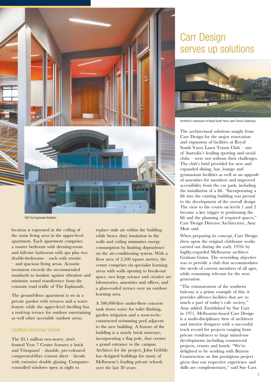

188 The Esplanade Brighton.

location is expressed in the ceiling of the main living area in the upper-level apartment. Each apartment comprises a master bedroom with dressing-room and full-size bathroom with spa plus two double-bedrooms – each with ensuite – and spacious living areas. Acoustic treatment exceeds the recommended standards to insulate against vibration and minimise sound transference from the constant road traffic of The Esplanade.

The ground-floor apartment is set in a private garden with terraces and a water feature while the upper-level dwelling has a roof-top terrace for outdoor entertaining as well other accessible outdoor areas.

#### Caulfield Grammar School

The \$5.1 million two-storey, steelframed Year 7 Centre features a brick and Vitrapanel – durable, pre-coloured compressed-fibre cement sheet – facade with extensive double glazing. Computercontrolled windows open at night to

replace stale air within the building while heavy duty insulation in the walls and ceiling minimises energy consumption by limiting dependence on the air-conditioning system. With a floor area of 2,500 square metres, the centre comprises six specialist learning areas with walls opening to break-out space, two large science and creative art laboratories, amenities and offices, and a glass-roofed terrace over an outdoor learning area.

A 500,000-litre under-floor concrete tank stores water for toilet flushing, garden irrigation and a soon-to-beconstructed swimming pool adjacent to the new building. A feature of the building is a stately brick structure, incorporating a flag pole, that creates a grand entrance to the campus. Architect for the project, John Gribble has designed buildings for many of Melbourne's leading private schools over the last 30 years.

## Carr Design serves up solutions



Architect's impression of Royal South Yarra Lawn Tennis Clubhouse.

The architectural solutions sought from Carr Design for the major renovation and expansion of facilities at Royal South Yarra Lawn Tennis Club – one of Australia's leading sporting and social clubs – were not without their challenges. The club's brief provided for new and expanded dining, bar, lounge and gymnasium facilities as well as an upgrade of amenities for members and improved accessibility from the car park, including the installation of a lift. "Incorporating a lift into the existing building was pivotal to the development of the overall design. The view to the courts on levels 1 and 2 became a key trigger to positioning the lift and the planning of required spaces," Carr Design Director Architecture, Amy Muir said.

When preparing its concept, Carr Design drew upon the original clubhouse works carried out during the early 1970s by highly-regarded Melbourne architect Graham Gunn. The overriding objective was to provide a club that accommodates the needs of current members of all ages, while remaining relevant for the next generation.

"The reinstatement of the southern balcony is a prime example of this: it provides alfresco facilities that are so much a part of today's cafe society," Amy added. Established by Sue Carr in 1971, Melbourne-based Carr Design is a multi-disciplinary firm of architects and interior designers with a successful track record for projects ranging from private residences to large mixed-use developments including commercial projects, resorts and hotels. "We're delighted to be working with Buxton Construction on this prestigious project given that our respective experience and skills are complementary," said Sue Carr.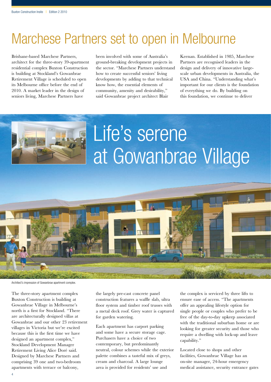## Marchese Partners set to open in Melbourne

Brisbane-based Marchese Partners, architect for the three-story 39-apartment residential complex Buxton Construction is building at Stockland's Gowanbrae Retirement Village is scheduled to open its Melbourne office before the end of 2010. A market leader in the design of seniors living, Marchese Partners have

been involved with some of Australia's ground-breaking development projects in the sector. "Marchese Partners understand how to create successful seniors' living developments by adding to that technical know how, the essential elements of community, amenity and desirability," said Gowanbrae project architect Blair

Keenan. Established in 1985, Marchese Partners are recognised leaders in the design and delivery of innovative largescale urban developments in Australia, the USA and China. "Understanding what's important for our clients is the foundation of everything we do. By building on this foundation, we continue to deliver



Architect's impression of Gowanbrae apartment complex.

The three-story apartment complex Buxton Construction is building at Gowanbrae Village in Melbourne's north is a first for Stockland. "There are architecturally designed villas at Gowanbrae and our other 23 retirement villages in Victoria but we're excited because this is the first time we have designed an apartment complex," Stockland Development Manager Retirement Living Alice Doré said. Designed by Marchese Partners and comprising 39 one and two-bedroom apartments with terrace or balcony,

the largely pre-cast concrete panel construction features a waffle slab, ultra floor system and timber roof trusses with a metal deck roof. Grey water is captured for garden watering.

Each apartment has carport parking and some have a secure storage cage. Purchasers have a choice of two contemporary, but predominantly neutral, colour schemes while the exterior palette combines a tasteful mix of greys, cream and charcoal. A large lounge area is provided for residents' use and

the complex is serviced by three lifts to ensure ease of access. "The apartments offer an appealing lifestyle option for single people or couples who prefer to be free of the day-to-day upkeep associated with the traditional suburban home or are looking for greater security and those who require a dwelling with lock-up and leave capability."

Located close to shops and other facilities, Gowanbrae Village has an on-site manager, 24-hour emergency medical assistance, security entrance gates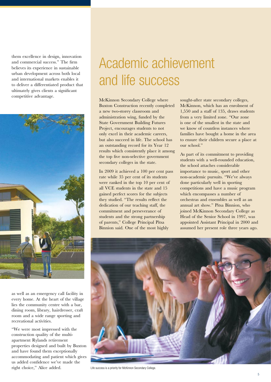them excellence in design, innovation and commercial success." The firm believes its experience in sustainable urban development across both local and international markets enables it to deliver a differentiated product that ultimately gives clients a significant competitive advantage.



as well as an emergency call facility in every home. At the heart of the village lies the community centre with a bar, dining room, library, hairdresser, craft room and a wide range sporting and recreational activities.

"We were most impressed with the construction quality of the multiapartment Rylands retirement properties designed and built by Buxton and have found them exceptionally accommodating and patient which gives us added confidence we've made the right choice," Alice added.

# Academic achievement and life success

McKinnon Secondary College where Buxton Construction recently completed a new two-storey classroom and administration wing, funded by the State Government Building Futures Project, encourages students to not only excel in their academic careers, but also succeed in life. The school has an outstanding record for its Year 12 results which consistently place it among the top five non-selective government secondary colleges in the state.

In 2009 it achieved a 100 per cent pass rate while 35 per cent of its students were ranked in the top 10 per cent of all VCE students in the state and 15 gained perfect scores for the subjects they studied. "The results reflect the dedication of our teaching staff, the commitment and perseverance of students and the strong partnership of parents," College Principal Pitsa Binnion said. One of the most highly

sought-after state secondary colleges, McKinnon, which has an enrolment of 1,550 and a staff of 135, draws students from a very limited zone. "Our zone is one of the smallest in the state and we know of countless instances where families have bought a home in the area to ensure their children secure a place at our school."

As part of its commitment to providing students with a well-rounded education, the school attaches considerable importance to music, sport and other non-academic pursuits. "We've always done particularly well in sporting competitions and have a music program which encompasses a number of orchestras and ensembles as well as an annual art show." Pitsa Binnion, who joined McKinnon Secondary College as Head of the Senior School in 1997, was appointed Assistant Principal in 2000 and assumed her present role three years ago.



Life success is a priority for McKinnon Secondary College.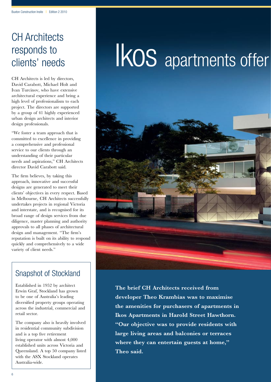## CH Architects responds to clients' needs

CH Architects is led by directors, David Carabott, Michael Holt and Ivan Turcinov, who have extensive architectural experience and bring a high level of professionalism to each project. The directors are supported by a group of 41 highly experienced urban design architects and interior design professionals.

"We foster a team approach that is committed to excellence in providing a comprehensive and professional service to our clients through an understanding of their particular needs and aspirations," CH Architects director David Carabott said.

The firm believes, by taking this approach, innovative and successful designs are generated to meet their clients' objectives in every respect. Based in Melbourne, CH Architects successfully undertakes projects in regional Victoria and interstate, and is recognised for its broad range of design services from due diligence, master planning and authority approvals to all phases of architectural design and management. "The firm's reputation is built on its ability to respond quickly and comprehensively to a wide variety of client needs."

### Snapshot of Stockland

Established in 1952 by architect Erwin Graf, Stockland has grown to be one of Australia's leading diversified property groups operating across the industrial, commercial and retail sector.

The company also is heavily involved in residential community subdivision and is a top five retirement living operator with almost 4,000 established units across Victoria and Queensland. A top 50 company listed with the ASX Stockland operates Australia-wide.

# IKOS apartments offer



**The brief CH Architects received from developer Theo Krambias was to maximise the amenities for purchasers of apartments in Ikos Apartments in Harold Street Hawthorn. "Our objective was to provide residents with large living areas and balconies or terraces where they can entertain guests at home," Theo said.**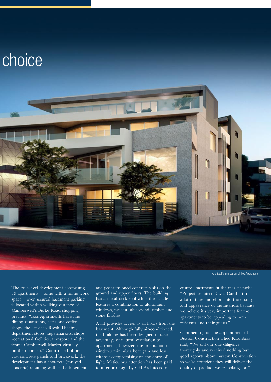

Architect's impression of Ikos Apartments.

The four-level development comprising 19 apartments – some with a home work space – over secured basement parking is located within walking distance of Camberwell's Burke Road shopping precinct. "Ikos Apartments have fine dining restaurants, cafés and coffee shops, the art deco Rivoli Theatre, department stores, supermarkets, shops, recreational facilities, transport and the iconic Camberwell Market virtually on the doorstep." Constructed of precast concrete panels and brickwork, the development has a shotcrete (sprayed concrete) retaining wall to the basement

and post-tensioned concrete slabs on the ground and upper floors. The building has a metal deck roof while the facade features a combination of aluminium windows, precast, alucobond, timber and stone finishes.

A lift provides access to all floors from the basement. Although fully air-conditioned, the building has been designed to take advantage of natural ventilation to apartments, however, the orientation of windows minimises heat gain and loss without compromising on the entry of light. Meticulous attention has been paid to interior design by CH Architects to

ensure apartments fit the market niche. "Project architect David Carabott put a lot of time and effort into the quality and appearance of the interiors because we believe it's very important for the apartments to be appealing to both residents and their guests."

Commenting on the appointment of Buxton Construction Theo Krambias said, "We did our due diligence thoroughly and received nothing but good reports about Buxton Construction so we're confident they will deliver the quality of product we're looking for."